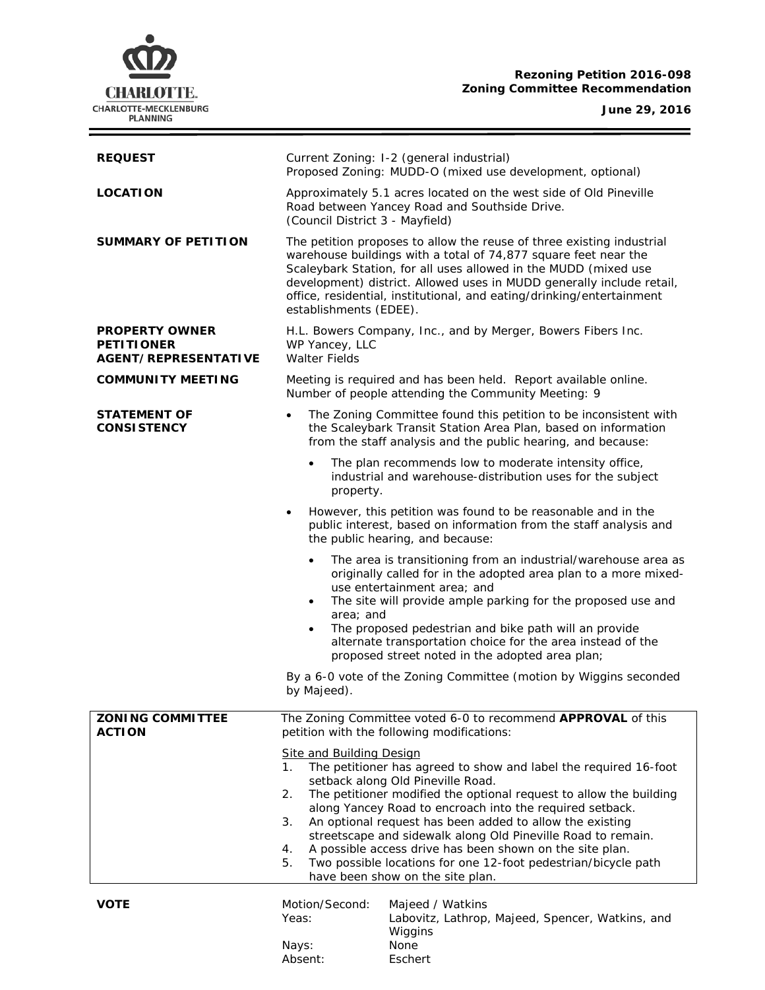# **CHARLOTTE.** CHARLOTTE-MECKLENBURG<br>PLANNING

## **Rezoning Petition 2016-098 Zoning Committee Recommendation**

**June 29, 2016**

 $\equiv$ 

| <b>REQUEST</b>                                                            | Current Zoning: I-2 (general industrial)<br>Proposed Zoning: MUDD-O (mixed use development, optional)                                                                                                                                                                                                                                                                                                                                                                                      |
|---------------------------------------------------------------------------|--------------------------------------------------------------------------------------------------------------------------------------------------------------------------------------------------------------------------------------------------------------------------------------------------------------------------------------------------------------------------------------------------------------------------------------------------------------------------------------------|
| <b>LOCATION</b>                                                           | Approximately 5.1 acres located on the west side of Old Pineville<br>Road between Yancey Road and Southside Drive.<br>(Council District 3 - Mayfield)                                                                                                                                                                                                                                                                                                                                      |
| SUMMARY OF PETITION                                                       | The petition proposes to allow the reuse of three existing industrial<br>warehouse buildings with a total of 74,877 square feet near the<br>Scaleybark Station, for all uses allowed in the MUDD (mixed use<br>development) district. Allowed uses in MUDD generally include retail,<br>office, residential, institutional, and eating/drinking/entertainment<br>establishments (EDEE).                                                                                                    |
| <b>PROPERTY OWNER</b><br><b>PETITIONER</b><br><b>AGENT/REPRESENTATIVE</b> | H.L. Bowers Company, Inc., and by Merger, Bowers Fibers Inc.<br>WP Yancey, LLC<br><b>Walter Fields</b>                                                                                                                                                                                                                                                                                                                                                                                     |
| <b>COMMUNITY MEETING</b>                                                  | Meeting is required and has been held. Report available online.<br>Number of people attending the Community Meeting: 9                                                                                                                                                                                                                                                                                                                                                                     |
| <b>STATEMENT OF</b><br><b>CONSISTENCY</b>                                 | The Zoning Committee found this petition to be inconsistent with<br>the Scaleybark Transit Station Area Plan, based on information<br>from the staff analysis and the public hearing, and because:                                                                                                                                                                                                                                                                                         |
|                                                                           | The plan recommends low to moderate intensity office,<br>$\bullet$<br>industrial and warehouse-distribution uses for the subject<br>property.                                                                                                                                                                                                                                                                                                                                              |
|                                                                           | However, this petition was found to be reasonable and in the<br>public interest, based on information from the staff analysis and<br>the public hearing, and because:                                                                                                                                                                                                                                                                                                                      |
|                                                                           | The area is transitioning from an industrial/warehouse area as<br>$\bullet$<br>originally called for in the adopted area plan to a more mixed-<br>use entertainment area; and<br>The site will provide ample parking for the proposed use and<br>$\bullet$<br>area; and<br>The proposed pedestrian and bike path will an provide<br>$\bullet$<br>alternate transportation choice for the area instead of the                                                                               |
|                                                                           | proposed street noted in the adopted area plan;<br>By a 6-0 vote of the Zoning Committee (motion by Wiggins seconded<br>by Majeed).                                                                                                                                                                                                                                                                                                                                                        |
|                                                                           |                                                                                                                                                                                                                                                                                                                                                                                                                                                                                            |
| <b>ZONING COMMITTEE</b><br><b>ACTION</b>                                  | The Zoning Committee voted 6-0 to recommend APPROVAL of this<br>petition with the following modifications:                                                                                                                                                                                                                                                                                                                                                                                 |
|                                                                           | <b>Site and Building Design</b><br>The petitioner has agreed to show and label the required 16-foot<br>1.<br>setback along Old Pineville Road.<br>The petitioner modified the optional request to allow the building<br>2.<br>along Yancey Road to encroach into the required setback.<br>An optional request has been added to allow the existing<br>3.<br>streetscape and sidewalk along Old Pineville Road to remain.<br>A possible access drive has been shown on the site plan.<br>4. |
|                                                                           | 5.<br>Two possible locations for one 12-foot pedestrian/bicycle path<br>have been show on the site plan.                                                                                                                                                                                                                                                                                                                                                                                   |
| VOTE                                                                      | Motion/Second:<br>Majeed / Watkins<br>Yeas:<br>Labovitz, Lathrop, Majeed, Spencer, Watkins, and<br>Wiggins<br>None<br>Nays:                                                                                                                                                                                                                                                                                                                                                                |
|                                                                           | Absent:<br>Eschert                                                                                                                                                                                                                                                                                                                                                                                                                                                                         |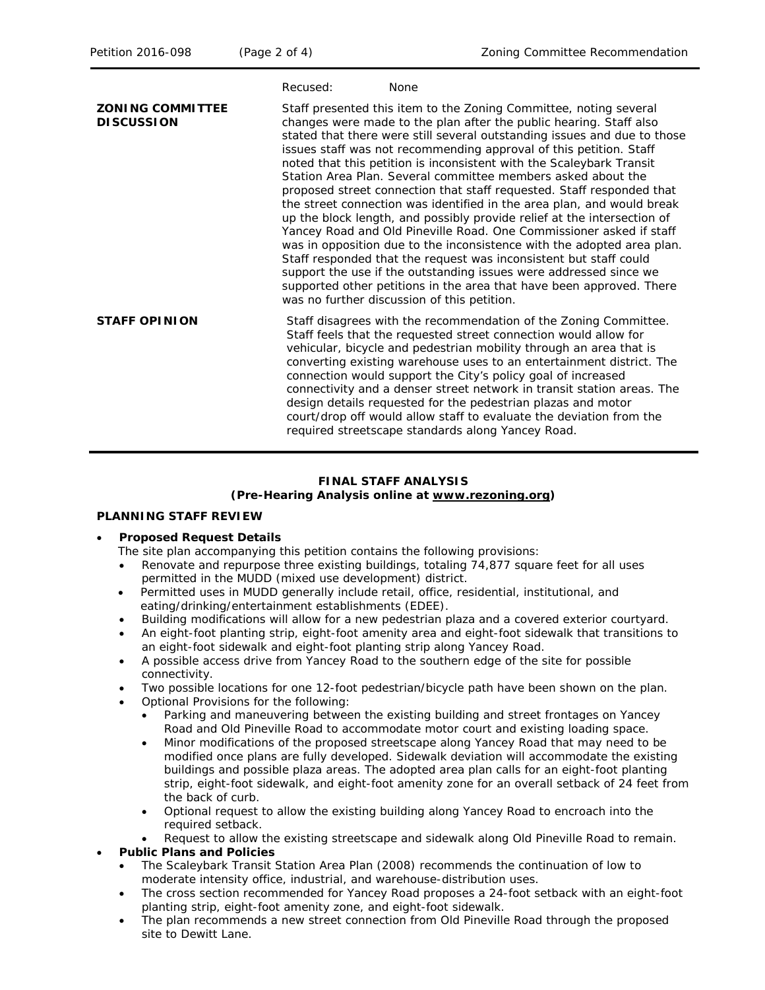|                                              | Recused:<br><b>None</b>                                                                                                                                                                                                                                                                                                                                                                                                                                                                                                                                                                                                                                                                                                                                                                                                                                                                                                                                                                                                                                                           |
|----------------------------------------------|-----------------------------------------------------------------------------------------------------------------------------------------------------------------------------------------------------------------------------------------------------------------------------------------------------------------------------------------------------------------------------------------------------------------------------------------------------------------------------------------------------------------------------------------------------------------------------------------------------------------------------------------------------------------------------------------------------------------------------------------------------------------------------------------------------------------------------------------------------------------------------------------------------------------------------------------------------------------------------------------------------------------------------------------------------------------------------------|
| <b>ZONING COMMITTEE</b><br><b>DISCUSSION</b> | Staff presented this item to the Zoning Committee, noting several<br>changes were made to the plan after the public hearing. Staff also<br>stated that there were still several outstanding issues and due to those<br>issues staff was not recommending approval of this petition. Staff<br>noted that this petition is inconsistent with the Scaleybark Transit<br>Station Area Plan. Several committee members asked about the<br>proposed street connection that staff requested. Staff responded that<br>the street connection was identified in the area plan, and would break<br>up the block length, and possibly provide relief at the intersection of<br>Yancey Road and Old Pineville Road. One Commissioner asked if staff<br>was in opposition due to the inconsistence with the adopted area plan.<br>Staff responded that the request was inconsistent but staff could<br>support the use if the outstanding issues were addressed since we<br>supported other petitions in the area that have been approved. There<br>was no further discussion of this petition. |
| <b>STAFF OPINION</b>                         | Staff disagrees with the recommendation of the Zoning Committee.<br>Staff feels that the requested street connection would allow for<br>vehicular, bicycle and pedestrian mobility through an area that is<br>converting existing warehouse uses to an entertainment district. The<br>connection would support the City's policy goal of increased<br>connectivity and a denser street network in transit station areas. The<br>design details requested for the pedestrian plazas and motor<br>court/drop off would allow staff to evaluate the deviation from the<br>required streetscape standards along Yancey Road.                                                                                                                                                                                                                                                                                                                                                                                                                                                          |

## **FINAL STAFF ANALYSIS (Pre-Hearing Analysis online at [www.rezoning.org\)](http://www.rezoning.org/)**

## **PLANNING STAFF REVIEW**

## • **Proposed Request Details**

- The site plan accompanying this petition contains the following provisions:
- Renovate and repurpose three existing buildings, totaling 74,877 square feet for all uses permitted in the MUDD (mixed use development) district.
- Permitted uses in MUDD generally include retail, office, residential, institutional, and eating/drinking/entertainment establishments (EDEE).
- Building modifications will allow for a new pedestrian plaza and a covered exterior courtyard.
- An eight-foot planting strip, eight-foot amenity area and eight-foot sidewalk that transitions to an eight-foot sidewalk and eight-foot planting strip along Yancey Road.
- A possible access drive from Yancey Road to the southern edge of the site for possible connectivity.
- Two possible locations for one 12-foot pedestrian/bicycle path have been shown on the plan.
- Optional Provisions for the following:
	- Parking and maneuvering between the existing building and street frontages on Yancey Road and Old Pineville Road to accommodate motor court and existing loading space.
	- Minor modifications of the proposed streetscape along Yancey Road that may need to be modified once plans are fully developed. Sidewalk deviation will accommodate the existing buildings and possible plaza areas. The adopted area plan calls for an eight-foot planting strip, eight-foot sidewalk, and eight-foot amenity zone for an overall setback of 24 feet from the back of curb.
	- Optional request to allow the existing building along Yancey Road to encroach into the required setback.
	- Request to allow the existing streetscape and sidewalk along Old Pineville Road to remain.

## • **Public Plans and Policies**

- The *Scaleybark Transit Station Area Plan* (2008) recommends the continuation of low to moderate intensity office, industrial, and warehouse-distribution uses.
- The cross section recommended for Yancey Road proposes a 24-foot setback with an eight-foot planting strip, eight-foot amenity zone, and eight-foot sidewalk.
- The plan recommends a new street connection from Old Pineville Road through the proposed site to Dewitt Lane.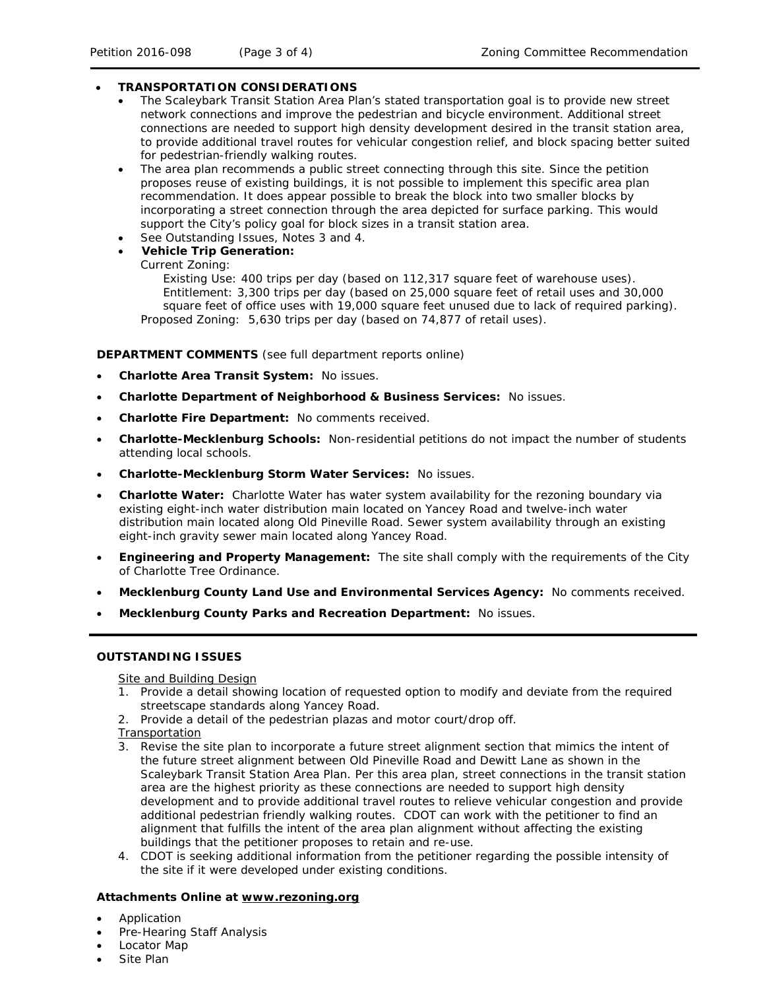## • **TRANSPORTATION CONSIDERATIONS**

- The *Scaleybark Transit Station Area Plan's* stated transportation goal is to provide new street network connections and improve the pedestrian and bicycle environment. Additional street connections are needed to support high density development desired in the transit station area, to provide additional travel routes for vehicular congestion relief, and block spacing better suited for pedestrian-friendly walking routes.
- The area plan recommends a public street connecting through this site. Since the petition proposes reuse of existing buildings, it is not possible to implement this specific area plan recommendation. It does appear possible to break the block into two smaller blocks by incorporating a street connection through the area depicted for surface parking. This would support the City's policy goal for block sizes in a transit station area.
- See Outstanding Issues, Notes 3 and 4.
- **Vehicle Trip Generation:**

Current Zoning:

Existing Use: 400 trips per day (based on 112,317 square feet of warehouse uses). Entitlement: 3,300 trips per day (based on 25,000 square feet of retail uses and 30,000 square feet of office uses with 19,000 square feet unused due to lack of required parking). Proposed Zoning: 5,630 trips per day (based on 74,877 of retail uses).

## **DEPARTMENT COMMENTS** (see full department reports online)

- **Charlotte Area Transit System:** No issues.
- **Charlotte Department of Neighborhood & Business Services:** No issues.
- **Charlotte Fire Department:** No comments received.
- **Charlotte-Mecklenburg Schools:** Non-residential petitions do not impact the number of students attending local schools.
- **Charlotte-Mecklenburg Storm Water Services:** No issues.
- **Charlotte Water:** Charlotte Water has water system availability for the rezoning boundary via existing eight-inch water distribution main located on Yancey Road and twelve-inch water distribution main located along Old Pineville Road. Sewer system availability through an existing eight-inch gravity sewer main located along Yancey Road.
- **Engineering and Property Management:** The site shall comply with the requirements of the City of Charlotte Tree Ordinance.
- **Mecklenburg County Land Use and Environmental Services Agency:** No comments received.
- **Mecklenburg County Parks and Recreation Department:** No issues.

## **OUTSTANDING ISSUES**

Site and Building Design

- 1. Provide a detail showing location of requested option to modify and deviate from the required streetscape standards along Yancey Road.
- 2. Provide a detail of the pedestrian plazas and motor court/drop off.

**Transportation** 

- 3. Revise the site plan to incorporate a future street alignment section that mimics the intent of the future street alignment between Old Pineville Road and Dewitt Lane as shown in the *Scaleybark Transit Station Area Plan*. Per this area plan, street connections in the transit station area are the highest priority as these connections are needed to support high density development and to provide additional travel routes to relieve vehicular congestion and provide additional pedestrian friendly walking routes. CDOT can work with the petitioner to find an alignment that fulfills the intent of the area plan alignment without affecting the existing buildings that the petitioner proposes to retain and re-use.
- 4. CDOT is seeking additional information from the petitioner regarding the possible intensity of the site if it were developed under existing conditions.

## **Attachments Online at [www.rezoning.org](http://www.rezoning.org/)**

- Application
- Pre-Hearing Staff Analysis
- Locator Map
- Site Plan